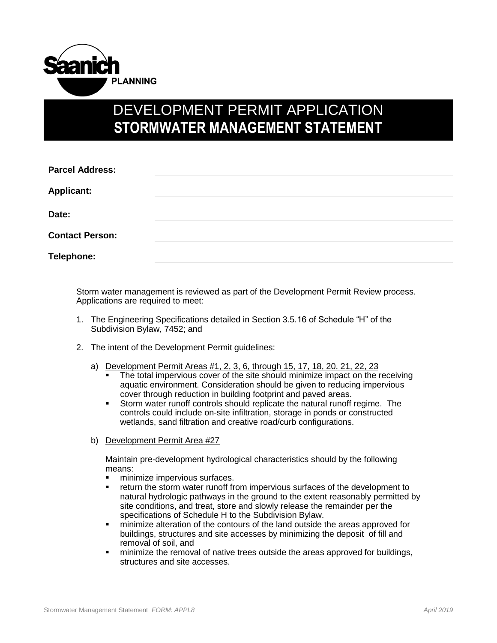

## DEVELOPMENT PERMIT APPLICATION **STORMWATER MANAGEMENT STATEMENT**

| <b>Parcel Address:</b> |  |  |
|------------------------|--|--|
| <b>Applicant:</b>      |  |  |
| Date:                  |  |  |
| <b>Contact Person:</b> |  |  |
| Telephone:             |  |  |

Storm water management is reviewed as part of the Development Permit Review process. Applications are required to meet:

- 1. The Engineering Specifications detailed in Section 3.5.16 of Schedule "H" of the Subdivision Bylaw, 7452; and
- 2. The intent of the Development Permit guidelines:
	- a) Development Permit Areas #1, 2, 3, 6, through 15, 17, 18, 20, 21, 22, 23
		- The total impervious cover of the site should minimize impact on the receiving aquatic environment. Consideration should be given to reducing impervious cover through reduction in building footprint and paved areas.
		- Storm water runoff controls should replicate the natural runoff regime. The controls could include on-site infiltration, storage in ponds or constructed wetlands, sand filtration and creative road/curb configurations.
	- b) Development Permit Area #27

Maintain pre-development hydrological characteristics should by the following means:

- **minimize impervious surfaces.**
- return the storm water runoff from impervious surfaces of the development to natural hydrologic pathways in the ground to the extent reasonably permitted by site conditions, and treat, store and slowly release the remainder per the specifications of Schedule H to the Subdivision Bylaw.
- minimize alteration of the contours of the land outside the areas approved for buildings, structures and site accesses by minimizing the deposit of fill and removal of soil, and
- minimize the removal of native trees outside the areas approved for buildings, structures and site accesses.